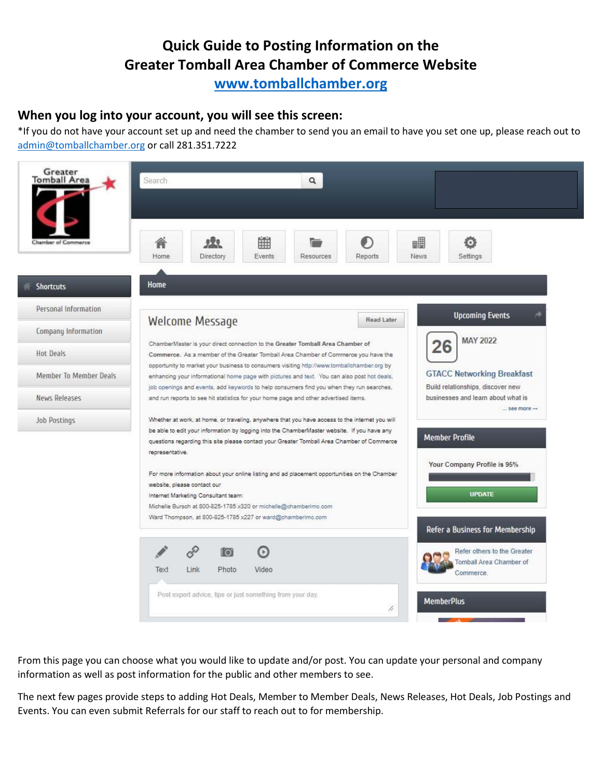**[www.tomballchamber.org](http://www.tomballchamber.org/)**

#### **When you log into your account, you will see this screen:**

\*If you do not have your account set up and need the chamber to send you an email to have you set one up, please reach out to [admin@tomballchamber.org](mailto:admin@tomballchamber.org) or call 281.351.7222



From this page you can choose what you would like to update and/or post. You can update your personal and company information as well as post information for the public and other members to see.

The next few pages provide steps to adding Hot Deals, Member to Member Deals, News Releases, Hot Deals, Job Postings and Events. You can even submit Referrals for our staff to reach out to for membership.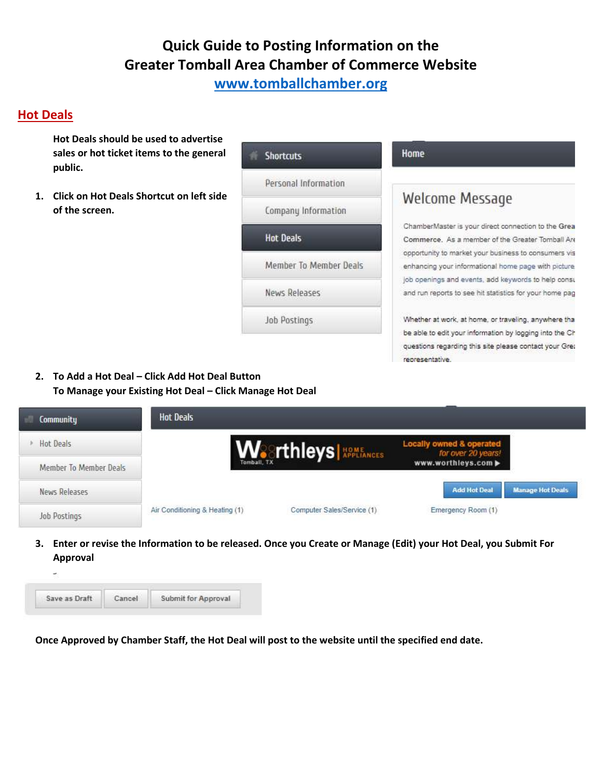**[www.tomballchamber.org](http://www.tomballchamber.org/)**

### **Hot Deals**

**Hot Deals should be used to advertise sales or hot ticket items to the general public.** 

**1. Click on Hot Deals Shortcut on left side of the screen.** 

**Shortcuts** 

Personal Information

Company Information

**Hot Deals** 

Member To Member Deals

News Releases

Job Postings

#### Home

## **Welcome Message**

ChamberMaster is your direct connection to the Grea Commerce. As a member of the Greater Tomball Are opportunity to market your business to consumers vis enhancing your informational home page with picture job openings and events, add keywords to help consu and run reports to see hit statistics for your home pag

Whether at work, at home, or traveling, anywhere tha be able to edit your information by logging into the Ch questions regarding this site please contact your Gret representative.

**2. To Add a Hot Deal – Click Add Hot Deal Button To Manage your Existing Hot Deal – Click Manage Hot Deal** 

| Community              | <b>Hot Deals</b>               |                                         |                                                |                         |
|------------------------|--------------------------------|-----------------------------------------|------------------------------------------------|-------------------------|
| Hot Deals              |                                | <b>We</b> Thleys <b>NOME APPLIANCES</b> | Locally owned & operated<br>for over 20 years! |                         |
| Member To Member Deals | Tomball, TX                    |                                         | www.worthleys.com                              |                         |
| News Releases          |                                |                                         | <b>Add Hot Deal</b>                            | <b>Manage Hot Deals</b> |
| <b>Job Postings</b>    | Air Conditioning & Heating (1) | Computer Sales/Service (1)              | Emergency Room (1)                             |                         |

**3. Enter or revise the Information to be released. Once you Create or Manage (Edit) your Hot Deal, you Submit For Approval** 

| Save as Draft | <b>Submit for Approval</b> |
|---------------|----------------------------|

**Once Approved by Chamber Staff, the Hot Deal will post to the website until the specified end date.**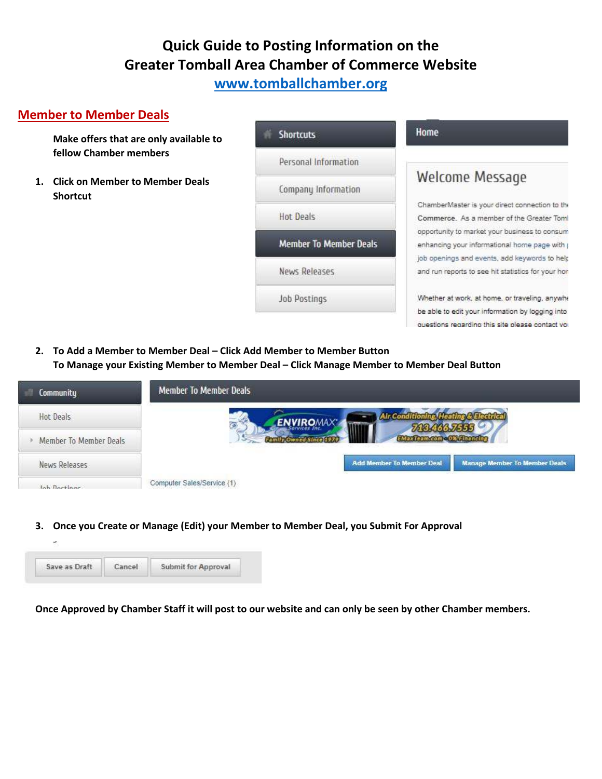## **[www.tomballchamber.org](http://www.tomballchamber.org/)**

### **Member to Member Deals**

**Make offers that are only available to fellow Chamber members** 

**1. Click on Member to Member Deals Shortcut** 

| <b>Shortcuts</b>              |  |  |  |  |
|-------------------------------|--|--|--|--|
| Personal Information          |  |  |  |  |
| Company Information           |  |  |  |  |
| Hot Deals                     |  |  |  |  |
| <b>Member To Member Deals</b> |  |  |  |  |
| News Releases                 |  |  |  |  |
| Job Postings                  |  |  |  |  |
|                               |  |  |  |  |

#### Home

## Welcome Message

ChamberMaster is your direct connection to the Commerce. As a member of the Greater Tom! opportunity to market your business to consum enhancing your informational home page with p job openings and events, add keywords to help and run reports to see hit statistics for your hon

Whether at work, at home, or traveling, anywhe be able to edit your information by logging into questions regarding this site please contact vol

**2. To Add a Member to Member Deal – Click Add Member to Member Button To Manage your Existing Member to Member Deal – Click Manage Member to Member Deal Button** 



**3. Once you Create or Manage (Edit) your Member to Member Deal, you Submit For Approval** 

| Save as Draft | <b>Submit for Approval</b> |
|---------------|----------------------------|

**Once Approved by Chamber Staff it will post to our website and can only be seen by other Chamber members.**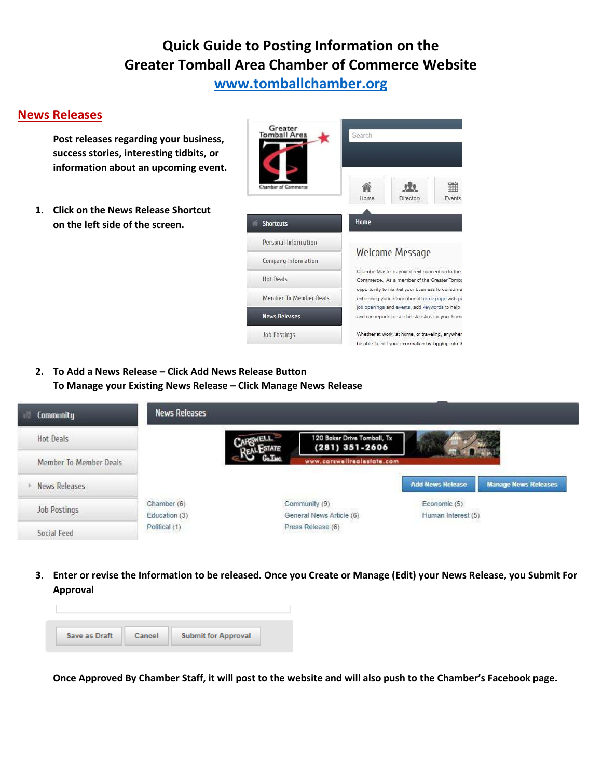## **[www.tomballchamber.org](http://www.tomballchamber.org/)**

#### **News Releases**

**Post releases regarding your business, success stories, interesting tidbits, or information about an upcoming event.** 

**1. Click on the News Release Shortcut on the left side of the screen.** 



**2. To Add a News Release – Click Add News Release Button To Manage your Existing News Release – Click Manage News Release** 

| Community              | <b>News Releases</b>         |                                                   |                                    |                             |
|------------------------|------------------------------|---------------------------------------------------|------------------------------------|-----------------------------|
| Hot Deals              |                              | 120 Baker Drive Tomball, Tx<br>$(281) 351 - 2606$ |                                    |                             |
| Member To Member Deals |                              | www.carswellrealestate.com                        |                                    |                             |
| News Releases          |                              |                                                   | <b>Add News Release</b>            | <b>Manage News Releases</b> |
| Job Postings           | Chamber (6)<br>Education (3) | Community (9)<br>General News Article (6)         | Economic (5)<br>Human Interest (5) |                             |
| Social Feed            | Political (1)                | Press Release (6)                                 |                                    |                             |

**3. Enter or revise the Information to be released. Once you Create or Manage (Edit) your News Release, you Submit For Approval** 



**Once Approved By Chamber Staff, it will post to the website and will also push to the Chamber's Facebook page.**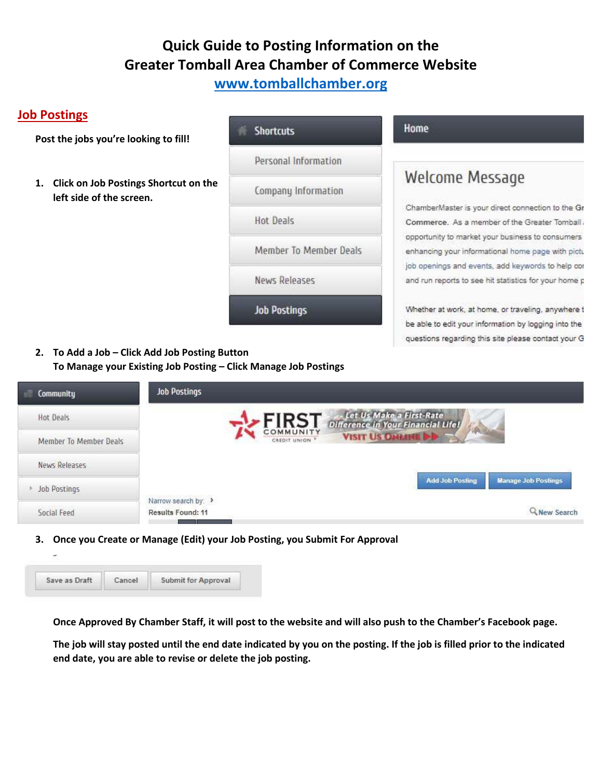**[www.tomballchamber.org](http://www.tomballchamber.org/)**

### **Job Postings**

**Post the jobs you're looking to fill!** 

**1. Click on Job Postings Shortcut on the left side of the screen.** 

**Shortcuts** 

Personal Information

Company Information

**Hot Deals** 

Member To Member Deals

**News Releases** 

**Job Postings** 

#### Home

## **Welcome Message**

ChamberMaster is your direct connection to the Gr Commerce. As a member of the Greater Tomball. opportunity to market your business to consumers enhancing your informational home page with pictu job openings and events, add keywords to help cor and run reports to see hit statistics for your home p

Whether at work, at home, or traveling, anywhere t be able to edit your information by logging into the questions regarding this site please contact your G

**2. To Add a Job – Click Add Job Posting Button To Manage your Existing Job Posting – Click Manage Job Postings** 

| <b>Community</b><br>e  | <b>Job Postings</b>                      |                           |                                                                |                        |                            |
|------------------------|------------------------------------------|---------------------------|----------------------------------------------------------------|------------------------|----------------------------|
| Hot Deals              |                                          | <b>FIRST</b>              | Let Us Make a First-Rate<br>Difference in Your Financial Life! |                        |                            |
| Member To Member Deals |                                          | COMMUNITY<br>CREDIT UNION | <b>VISIT US OFFICIAL DID</b>                                   | 7.86                   |                            |
| News Releases          |                                          |                           |                                                                |                        |                            |
| Job Postings           |                                          |                           |                                                                | <b>Add Job Posting</b> | <b>Manage Job Postings</b> |
| Social Feed            | Narrow search by: ><br>Results Found: 11 |                           |                                                                |                        | <b>Q</b> New Search        |

**3. Once you Create or Manage (Edit) your Job Posting, you Submit For Approval** 

| Save as Draft | <b>Submit for Approval</b> |
|---------------|----------------------------|

**Once Approved By Chamber Staff, it will post to the website and will also push to the Chamber's Facebook page.** 

**The job will stay posted until the end date indicated by you on the posting. If the job is filled prior to the indicated end date, you are able to revise or delete the job posting.**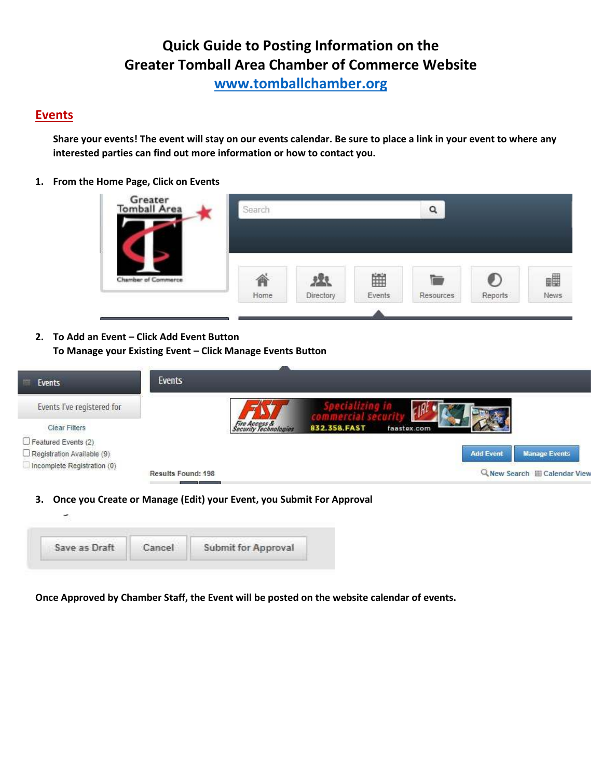**[www.tomballchamber.org](http://www.tomballchamber.org/)**

#### **Events**

**Share your events! The event will stay on our events calendar. Be sure to place a link in your event to where any interested parties can find out more information or how to contact you.** 

**1. From the Home Page, Click on Events** 



**2. To Add an Event – Click Add Event Button To Manage your Existing Event – Click Manage Events Button** 

| Events             |                                        |              |                  |                               |
|--------------------|----------------------------------------|--------------|------------------|-------------------------------|
|                    |                                        |              |                  |                               |
|                    | Fire Access &<br>Security Technologies | 832 358 FAST |                  |                               |
|                    |                                        |              |                  |                               |
|                    |                                        |              | <b>Add Event</b> | <b>Manage Events</b>          |
| Results Found: 198 |                                        |              |                  | Q New Search El Calendar View |
|                    |                                        |              | faastex.com      |                               |

**3. Once you Create or Manage (Edit) your Event, you Submit For Approval** 



**Once Approved by Chamber Staff, the Event will be posted on the website calendar of events.**